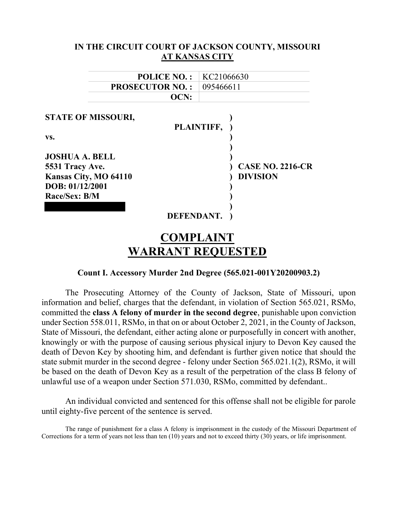| IN THE CIRCUIT COURT OF JACKSON COUNTY, MISSOURI |                       |                         |  |
|--------------------------------------------------|-----------------------|-------------------------|--|
|                                                  | <b>AT KANSAS CITY</b> |                         |  |
| <b>POLICE NO.:</b>                               | KC21066630            |                         |  |
| <b>PROSECUTOR NO.:</b>                           |                       | 095466611               |  |
| OCN:                                             |                       |                         |  |
| <b>STATE OF MISSOURI,</b>                        | PLAINTIFF,            |                         |  |
| VS.                                              |                       |                         |  |
| <b>JOSHUA A. BELL</b><br>5531 Tracy Ave.         |                       | <b>CASE NO. 2216-CR</b> |  |
| Kansas City, MO 64110<br>DOB: 01/12/2001         |                       | <b>DIVISION</b>         |  |
| Race/Sex: B/M                                    |                       |                         |  |
|                                                  | DEFENDANT.            |                         |  |
|                                                  | 'OMPLAII              |                         |  |

# Count I. Accessory Murder 2nd Degree (565.021-001Y20200903.2)

WARRANT REQUESTED

The Prosecuting Attorney of the County of Jackson, State of Missouri, upon information and belief, charges that the defendant, in violation of Section 565.021, RSMo, committed the class A felony of murder in the second degree, punishable upon conviction under Section 558.011, RSMo, in that on or about October 2, 2021, in the County of Jackson, State of Missouri, the defendant, either acting alone or purposefully in concert with another, knowingly or with the purpose of causing serious physical injury to Devon Key caused the death of Devon Key by shooting him, and defendant is further given notice that should the state submit murder in the second degree - felony under Section 565.021.1(2), RSMo, it will be based on the death of Devon Key as a result of the perpetration of the class B felony of unlawful use of a weapon under Section 571.030, RSMo, committed by defendant..

An individual convicted and sentenced for this offense shall not be eligible for parole until eighty-five percent of the sentence is served.

The range of punishment for a class A felony is imprisonment in the custody of the Missouri Department of Corrections for a term of years not less than ten (10) years and not to exceed thirty (30) years, or life imprisonment.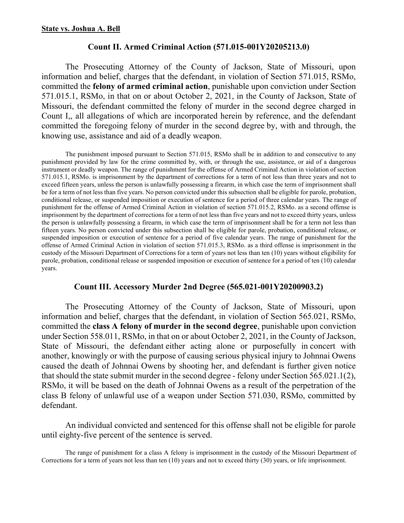# Count II. Armed Criminal Action (571.015-001Y20205213.0)

The Prosecuting Attorney of the County of Jackson, State of Missouri, upon information and belief, charges that the defendant, in violation of Section 571.015, RSMo, committed the felony of armed criminal action, punishable upon conviction under Section 571.015.1, RSMo, in that on or about October 2, 2021, in the County of Jackson, State of Missouri, the defendant committed the felony of murder in the second degree charged in Count I,, all allegations of which are incorporated herein by reference, and the defendant committed the foregoing felony of murder in the second degree by, with and through, the knowing use, assistance and aid of a deadly weapon.

The punishment imposed pursuant to Section 571.015, RSMo shall be in addition to and consecutive to any punishment provided by law for the crime committed by, with, or through the use, assistance, or aid of a dangerous instrument or deadly weapon. The range of punishment for the offense of Armed Criminal Action in violation of section 571.015.1, RSMo. is imprisonment by the department of corrections for a term of not less than three years and not to exceed fifteen years, unless the person is unlawfully possessing a firearm, in which case the term of imprisonment shall be for a term of not less than five years. No person convicted under this subsection shall be eligible for parole, probation, conditional release, or suspended imposition or execution of sentence for a period of three calendar years. The range of punishment for the offense of Armed Criminal Action in violation of section 571.015.2, RSMo. as a second offense is imprisonment by the department of corrections for a term of not less than five years and not to exceed thirty years, unless the person is unlawfully possessing a firearm, in which case the term of imprisonment shall be for a term not less than fifteen years. No person convicted under this subsection shall be eligible for parole, probation, conditional release, or suspended imposition or execution of sentence for a period of five calendar years. The range of punishment for the offense of Armed Criminal Action in violation of section 571.015.3, RSMo. as a third offense is imprisonment in the custody of the Missouri Department of Corrections for a term of years not less than ten (10) years without eligibility for parole, probation, conditional release or suspended imposition or execution of sentence for a period of ten (10) calendar years.

# Count III. Accessory Murder 2nd Degree (565.021-001Y20200903.2)

The Prosecuting Attorney of the County of Jackson, State of Missouri, upon information and belief, charges that the defendant, in violation of Section 565.021, RSMo, committed the class A felony of murder in the second degree, punishable upon conviction under Section 558.011, RSMo, in that on or about October 2, 2021, in the County of Jackson, State of Missouri, the defendant either acting alone or purposefully in concert with another, knowingly or with the purpose of causing serious physical injury to Johnnai Owens caused the death of Johnnai Owens by shooting her, and defendant is further given notice that should the state submit murder in the second degree - felony under Section 565.021.1(2), RSMo, it will be based on the death of Johnnai Owens as a result of the perpetration of the class B felony of unlawful use of a weapon under Section 571.030, RSMo, committed by defendant.

An individual convicted and sentenced for this offense shall not be eligible for parole until eighty-five percent of the sentence is served.

The range of punishment for a class A felony is imprisonment in the custody of the Missouri Department of Corrections for a term of years not less than ten (10) years and not to exceed thirty (30) years, or life imprisonment.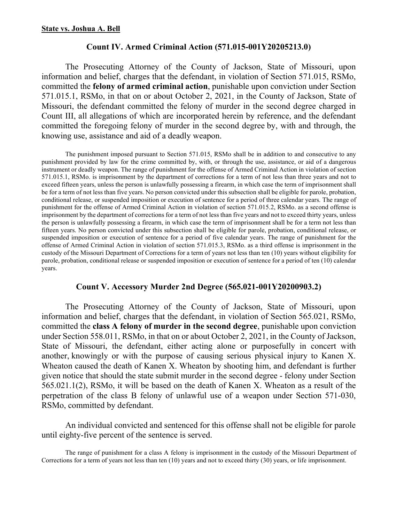# Count IV. Armed Criminal Action (571.015-001Y20205213.0)

The Prosecuting Attorney of the County of Jackson, State of Missouri, upon information and belief, charges that the defendant, in violation of Section 571.015, RSMo, committed the felony of armed criminal action, punishable upon conviction under Section 571.015.1, RSMo, in that on or about October 2, 2021, in the County of Jackson, State of Missouri, the defendant committed the felony of murder in the second degree charged in Count III, all allegations of which are incorporated herein by reference, and the defendant committed the foregoing felony of murder in the second degree by, with and through, the knowing use, assistance and aid of a deadly weapon.

The punishment imposed pursuant to Section 571.015, RSMo shall be in addition to and consecutive to any punishment provided by law for the crime committed by, with, or through the use, assistance, or aid of a dangerous instrument or deadly weapon. The range of punishment for the offense of Armed Criminal Action in violation of section 571.015.1, RSMo. is imprisonment by the department of corrections for a term of not less than three years and not to exceed fifteen years, unless the person is unlawfully possessing a firearm, in which case the term of imprisonment shall be for a term of not less than five years. No person convicted under this subsection shall be eligible for parole, probation, conditional release, or suspended imposition or execution of sentence for a period of three calendar years. The range of punishment for the offense of Armed Criminal Action in violation of section 571.015.2, RSMo. as a second offense is imprisonment by the department of corrections for a term of not less than five years and not to exceed thirty years, unless the person is unlawfully possessing a firearm, in which case the term of imprisonment shall be for a term not less than fifteen years. No person convicted under this subsection shall be eligible for parole, probation, conditional release, or suspended imposition or execution of sentence for a period of five calendar years. The range of punishment for the offense of Armed Criminal Action in violation of section 571.015.3, RSMo. as a third offense is imprisonment in the custody of the Missouri Department of Corrections for a term of years not less than ten (10) years without eligibility for parole, probation, conditional release or suspended imposition or execution of sentence for a period of ten (10) calendar years.

# Count V. Accessory Murder 2nd Degree (565.021-001Y20200903.2)

The Prosecuting Attorney of the County of Jackson, State of Missouri, upon information and belief, charges that the defendant, in violation of Section 565.021, RSMo, committed the class A felony of murder in the second degree, punishable upon conviction under Section 558.011, RSMo, in that on or about October 2, 2021, in the County of Jackson, State of Missouri, the defendant, either acting alone or purposefully in concert with another, knowingly or with the purpose of causing serious physical injury to Kanen X. Wheaton caused the death of Kanen X. Wheaton by shooting him, and defendant is further given notice that should the state submit murder in the second degree - felony under Section 565.021.1(2), RSMo, it will be based on the death of Kanen X. Wheaton as a result of the perpetration of the class B felony of unlawful use of a weapon under Section 571-030, RSMo, committed by defendant.

An individual convicted and sentenced for this offense shall not be eligible for parole until eighty-five percent of the sentence is served.

The range of punishment for a class A felony is imprisonment in the custody of the Missouri Department of Corrections for a term of years not less than ten (10) years and not to exceed thirty (30) years, or life imprisonment.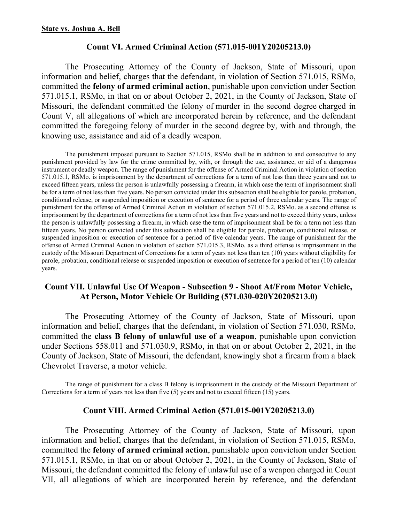# Count VI. Armed Criminal Action (571.015-001Y20205213.0)

The Prosecuting Attorney of the County of Jackson, State of Missouri, upon information and belief, charges that the defendant, in violation of Section 571.015, RSMo, committed the felony of armed criminal action, punishable upon conviction under Section 571.015.1, RSMo, in that on or about October 2, 2021, in the County of Jackson, State of Missouri, the defendant committed the felony of murder in the second degree charged in Count V, all allegations of which are incorporated herein by reference, and the defendant committed the foregoing felony of murder in the second degree by, with and through, the knowing use, assistance and aid of a deadly weapon.

The punishment imposed pursuant to Section 571.015, RSMo shall be in addition to and consecutive to any punishment provided by law for the crime committed by, with, or through the use, assistance, or aid of a dangerous instrument or deadly weapon. The range of punishment for the offense of Armed Criminal Action in violation of section 571.015.1, RSMo. is imprisonment by the department of corrections for a term of not less than three years and not to exceed fifteen years, unless the person is unlawfully possessing a firearm, in which case the term of imprisonment shall be for a term of not less than five years. No person convicted under this subsection shall be eligible for parole, probation, conditional release, or suspended imposition or execution of sentence for a period of three calendar years. The range of punishment for the offense of Armed Criminal Action in violation of section 571.015.2, RSMo. as a second offense is imprisonment by the department of corrections for a term of not less than five years and not to exceed thirty years, unless the person is unlawfully possessing a firearm, in which case the term of imprisonment shall be for a term not less than fifteen years. No person convicted under this subsection shall be eligible for parole, probation, conditional release, or suspended imposition or execution of sentence for a period of five calendar years. The range of punishment for the offense of Armed Criminal Action in violation of section 571.015.3, RSMo. as a third offense is imprisonment in the custody of the Missouri Department of Corrections for a term of years not less than ten (10) years without eligibility for parole, probation, conditional release or suspended imposition or execution of sentence for a period of ten (10) calendar years.

# Count VII. Unlawful Use Of Weapon - Subsection 9 - Shoot At/From Motor Vehicle, At Person, Motor Vehicle Or Building (571.030-020Y20205213.0)

The Prosecuting Attorney of the County of Jackson, State of Missouri, upon information and belief, charges that the defendant, in violation of Section 571.030, RSMo, committed the class B felony of unlawful use of a weapon, punishable upon conviction under Sections 558.011 and 571.030.9, RSMo, in that on or about October 2, 2021, in the County of Jackson, State of Missouri, the defendant, knowingly shot a firearm from a black Chevrolet Traverse, a motor vehicle.

The range of punishment for a class B felony is imprisonment in the custody of the Missouri Department of Corrections for a term of years not less than five (5) years and not to exceed fifteen (15) years.

# Count VIII. Armed Criminal Action (571.015-001Y20205213.0)

The Prosecuting Attorney of the County of Jackson, State of Missouri, upon information and belief, charges that the defendant, in violation of Section 571.015, RSMo, committed the felony of armed criminal action, punishable upon conviction under Section 571.015.1, RSMo, in that on or about October 2, 2021, in the County of Jackson, State of Missouri, the defendant committed the felony of unlawful use of a weapon charged in Count VII, all allegations of which are incorporated herein by reference, and the defendant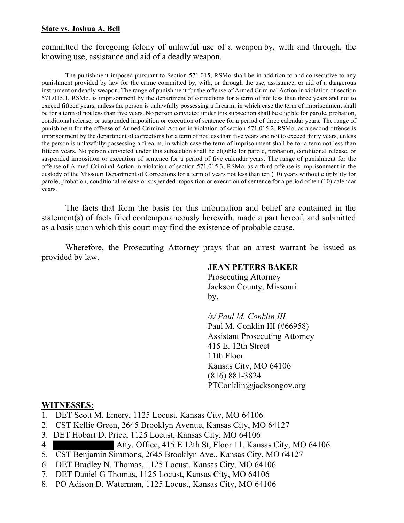#### State vs. Joshua A. Bell

# committed the foregoing felony of unlawful use of a weapon by, with and through, the knowing use, assistance and aid of a deadly weapon.

The punishment imposed pursuant to Section 571.015, RSMo shall be in addition to and consecutive to any punishment provided by law for the crime committed by, with, or through the use, assistance, or aid of a dangerous instrument or deadly weapon. The range of punishment for the offense of Armed Criminal Action in violation of section 571.015.1, RSMo. is imprisonment by the department of corrections for a term of not less than three years and not to exceed fifteen years, unless the person is unlawfully possessing a firearm, in which case the term of imprisonment shall be for a term of not less than five years. No person convicted under this subsection shall be eligible for parole, probation, conditional release, or suspended imposition or execution of sentence for a period of three calendar years. The range of punishment for the offense of Armed Criminal Action in violation of section 571.015.2, RSMo. as a second offense is imprisonment by the department of corrections for a term of not less than five years and not to exceed thirty years, unless the person is unlawfully possessing a firearm, in which case the term of imprisonment shall be for a term not less than fifteen years. No person convicted under this subsection shall be eligible for parole, probation, conditional release, or suspended imposition or execution of sentence for a period of five calendar years. The range of punishment for the offense of Armed Criminal Action in violation of section 571.015.3, RSMo. as a third offense is imprisonment in the custody of the Missouri Department of Corrections for a term of years not less than ten (10) years without eligibility for parole, probation, conditional release or suspended imposition or execution of sentence for a period of ten (10) calendar years.

The facts that form the basis for this information and belief are contained in the statement(s) of facts filed contemporaneously herewith, made a part hereof, and submitted as a basis upon which this court may find the existence of probable cause.

Wherefore, the Prosecuting Attorney prays that an arrest warrant be issued as provided by law.

# JEAN PETERS BAKER

 Prosecuting Attorney Jackson County, Missouri by,

/s/ Paul M. Conklin III

 Paul M. Conklin III (#66958) Assistant Prosecuting Attorney 415 E. 12th Street 11th Floor Kansas City, MO 64106 (816) 881-3824 PTConklin@jacksongov.org

# WITNESSES:

- 1. DET Scott M. Emery, 1125 Locust, Kansas City, MO 64106
- 2. CST Kellie Green, 2645 Brooklyn Avenue, Kansas City, MO 64127
- 3. DET Hobart D. Price, 1125 Locust, Kansas City, MO 64106
- 4. Atty. Office, 415 E 12th St, Floor 11, Kansas City, MO 64106
- 5. CST Benjamin Simmons, 2645 Brooklyn Ave., Kansas City, MO 64127
- 6. DET Bradley N. Thomas, 1125 Locust, Kansas City, MO 64106
- 7. DET Daniel G Thomas, 1125 Locust, Kansas City, MO 64106
- 8. PO Adison D. Waterman, 1125 Locust, Kansas City, MO 64106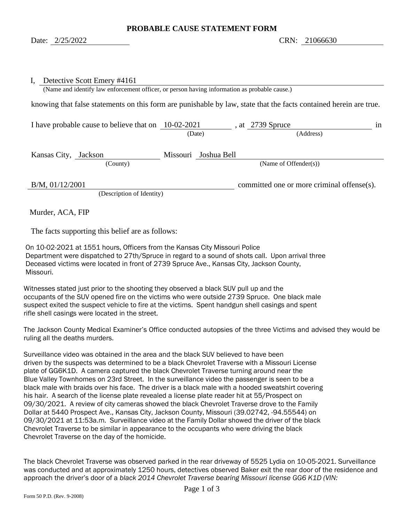<span id="page-5-1"></span><span id="page-5-0"></span>

| Detective Scott Emery #4161<br>$I_{\star}$<br>(Name and identify law enforcement officer, or person having information as probable cause.) |        |                           |                                            |    |
|--------------------------------------------------------------------------------------------------------------------------------------------|--------|---------------------------|--------------------------------------------|----|
| knowing that false statements on this form are punishable by law, state that the facts contained herein are true.                          |        |                           |                                            |    |
| I have probable cause to believe that on $10-02-2021$                                                                                      | (Date) |                           | at 2739 Spruce<br>(Address)                | 1n |
|                                                                                                                                            |        |                           |                                            |    |
| Kansas City, Jackson                                                                                                                       |        | Missouri Joshua Bell      |                                            |    |
| (County)                                                                                                                                   |        | (Name of Offender $(s)$ ) |                                            |    |
| $B/M$ , 01/12/2001<br>(Description of Identity)                                                                                            |        |                           | committed one or more criminal offense(s). |    |

Murder, ACA, FIP

The facts supporting this belief are as follows:

On 10-02-2021 at 1551 hours, Officers from the Kansas City Missouri Police Department were dispatched to 27th/Spruce in regard to a sound of shots call. Upon arrival three Deceased victims were located in front of 2739 Spruce Ave., Kansas City, Jackson County, Missouri.

Witnesses stated just prior to the shooting they observed a black SUV pull up and the occupants of the SUV opened fire on the victims who were outside 2739 Spruce. One black male suspect exited the suspect vehicle to fire at the victims. Spent handgun shell casings and spent rifle shell casings were located in the street.

The Jackson County Medical Examiner's Office conducted autopsies of the three Victims and advised they would be ruling all the deaths murders.

Surveillance video was obtained in the area and the black SUV believed to have been driven by the suspects was determined to be a black Chevrolet Traverse with a Missouri License plate of GG6K1D. A camera captured the black Chevrolet Traverse turning around near the Blue Valley Townhomes on 23rd Street. In the surveillance video the passenger is seen to be a black male with braids over his face. The driver is a black male with a hooded sweatshirt covering his hair. A search of the license plate revealed a license plate reader hit at 55/Prospect on 09/30/2021. A review of city cameras showed the black Chevrolet Traverse drove to the Family Dollar at 5440 Prospect Ave., Kansas City, Jackson County, Missouri (39.02742, -94.55544) on 09/30/2021 at 11:53a.m. Surveillance video at the Family Dollar showed the driver of the black Chevrolet Traverse to be similar in appearance to the occupants who were driving the black Chevrolet Traverse on the day of the homicide.

The black Chevrolet Traverse was observed parked in the rear driveway of 5525 Lydia on 10-05-2021. Surveillance was conducted and at approximately 1250 hours, detectives observed Baker exit the rear door of the residence and approach the driver's door of a *black 2014 Chevrolet Traverse bearing Missouri license GG6 K1D (VIN:*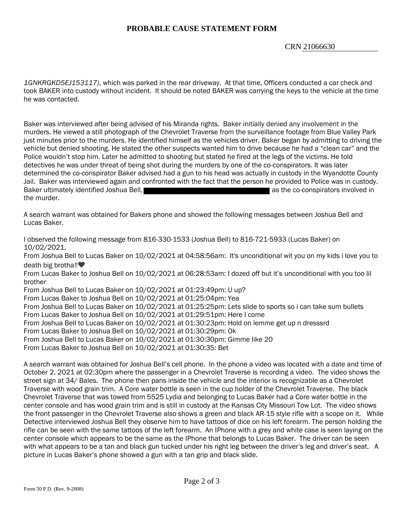## **PROBABLE CAUSE STATEMENT FORM**

#### CRN [21066630](#page-5-0)

*1GNKRGKD5EJ153117)*, which was parked in the rear driveway. At that time, Officers conducted a car check and took BAKER into custody without incident. It should be noted BAKER was carrying the keys to the vehicle at the time he was contacted.

Baker was interviewed after being advised of his Miranda rights. Baker initially denied any involvement in the murders. He viewed a still photograph of the Chevrolet Traverse from the surveillance footage from Blue Valley Park just minutes prior to the murders. He identified himself as the vehicles driver. Baker began by admitting to driving the vehicle but denied shooting. He stated the other suspects wanted him to drive because he had a "clean car" and the Police wouldn't stop him. Later he admitted to shooting but stated he fired at the legs of the victims. He told detectives he was under threat of being shot during the murders by one of the co-conspirators. It was later determined the co-conspirator Baker advised had a gun to his head was actually in custody in the Wyandotte County Jail. Baker was interviewed again and confronted with the fact that the person he provided to Police was in custody. Baker ultimately identified Joshua Bell, and the community is the co-conspirators involved in the murder.

A search warrant was obtained for Bakers phone and showed the following messages between Joshua Bell and Lucas Baker.

I observed the following message from 816-330-1533 (Joshua Bell) to 816-721-5933 (Lucas Baker) on 10/02/2021.

From Joshua Bell to Lucas Baker on 10/02/2021 at 04:58:56am: It's unconditional wit you on my kids i love you to death big brotha‼<sup>●</sup>

From Lucas Baker to Joshua Bell on 10/02/2021 at 06:28:53am: I dozed off but it's unconditional with you too lil brother

From Joshua Bell to Lucas Baker on 10/02/2021 at 01:23:49pm: U up?

From Lucas Baker to Joshua Bell on 10/02/2021 at 01:25:04pm: Yea

From Joshua Bell to Lucas Baker on 10/02/2021 at 01:25:25pm: Lets slide to sports so i can take sum bullets From Lucas Baker to Joshua Bell on 10/02/2021 at 01:29:51pm: Here I come

From Joshua Bell to Lucas Baker on 10/02/2021 at 01:30:23pm: Hold on lemme get up n dresssrd

From Lucas Baker to Joshua Bell on 10/02/2021 at 01:30:29pm: Ok

From Joshua Bell to Lucas Baker on 10/02/2021 at 01:30:30pm: Gimme like 20

From Lucas Baker to Joshua Bell on 10/02/2021 at 01:30:35: Bet

A search warrant was obtained for Joshua Bell's cell phone. In the phone a video was located with a date and time of October 2, 2021 at 02:30pm where the passenger in a Chevrolet Traverse is recording a video. The video shows the street sign at 34/ Bales. The phone then pans inside the vehicle and the interior is recognizable as a Chevrolet Traverse with wood grain trim. A Core water bottle is seen in the cup holder of the Chevrolet Traverse. The black Chevrolet Traverse that was towed from 5525 Lydia and belonging to Lucas Baker had a Core water bottle in the center console and has wood grain trim and is still in custody at the Kansas City Missouri Tow Lot. The video shows the front passenger in the Chevrolet Traverse also shows a green and black AR-15 style rifle with a scope on it. While Detective interviewed Joshua Bell they observe him to have tattoos of dice on his left forearm. The person holding the rifle can be seen with the same tattoos of the left forearm. An IPhone with a grey and white case is seen laying on the center console which appears to be the same as the IPhone that belongs to Lucas Baker. The driver can be seen with what appears to be a tan and black gun tucked under his right leg between the driver's leg and driver's seat. A picture in Lucas Baker's phone showed a gun with a tan grip and black slide.